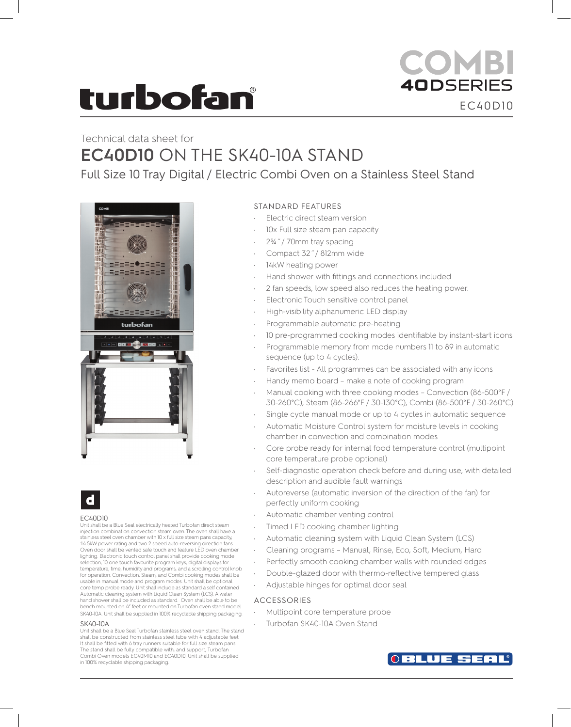# **turbofan**

# COMBI **40DSERIES** EC40D10

# Technical data sheet for **EC40D10** ON THE SK40-10A STAND

Full Size 10 Tray Digital / Electric Combi Oven on a Stainless Steel Stand





#### EC40D10

Unit shall be a Blue Seal electrically heated Turbofan direct steam injection combination convection steam oven. The oven shall have a stainless steel oven chamber with 10 x full size steam pans capacity, 14.5kW power rating and two 2 speed auto-reversing direction fans. Oven door shall be vented safe touch and feature LED oven chamber lighting. Electronic touch control panel shall provide cooking mode selection, 10 one touch favourite program keys, digital displays for temperature, time, humidity and programs, and a scrolling control knob for operation. Convection, Steam, and Combi cooking modes shall be usable in manual mode and program modes. Unit shall be optional core temp probe ready. Unit shall include as standard a self contained Automatic cleaning system with Liquid Clean System (LCS). A water hand shower shall be included as standard. Oven shall be able to be bench mounted on 4" feet or mounted on Turbofan oven stand model SK40-10A. Unit shall be supplied in 100% recyclable shipping packaging.

#### SK40-10A

Unit shall be a Blue Seal Turbofan stainless steel oven stand. The stand shall be constructed from stainless steel tube with 4 adjustable feet. It shall be fitted with 6 tray runners suitable for full size steam pans. The stand shall be fully compatible with, and support, Turbofan Combi Oven models EC40M10 and EC40D10. Unit shall be supplied in 100% recyclable shipping packaging.

# STANDARD FEATURES

- Electric direct steam version
- 10x Full size steam pan capacity
- 2¾˝/ 70mm tray spacing
- Compact 32˝/ 812mm wide
- 14kW heating power
- Hand shower with fittings and connections included
- 2 fan speeds, low speed also reduces the heating power.
- Electronic Touch sensitive control panel
- High-visibility alphanumeric LED display
- Programmable automatic pre-heating
- 10 pre-programmed cooking modes identifiable by instant-start icons
- Programmable memory from mode numbers 11 to 89 in automatic sequence (up to 4 cycles).
- Favorites list All programmes can be associated with any icons
- Handy memo board make a note of cooking program
- Manual cooking with three cooking modes Convection (86-500°F / 30-260°C), Steam (86-266°F / 30-130°C), Combi (86-500°F / 30-260°C)
- Single cycle manual mode or up to 4 cycles in automatic sequence
- Automatic Moisture Control system for moisture levels in cooking chamber in convection and combination modes
- Core probe ready for internal food temperature control (multipoint core temperature probe optional)
- Self-diagnostic operation check before and during use, with detailed description and audible fault warnings
- Autoreverse (automatic inversion of the direction of the fan) for perfectly uniform cooking
- Automatic chamber venting control
- Timed LED cooking chamber lighting
- Automatic cleaning system with Liquid Clean System (LCS)
- Cleaning programs Manual, Rinse, Eco, Soft, Medium, Hard
- Perfectly smooth cooking chamber walls with rounded edges
- Double-glazed door with thermo-reflective tempered glass
- Adjustable hinges for optimal door seal

### ACCESSORIES

- Multipoint core temperature probe
- Turbofan SK40-10A Oven Stand